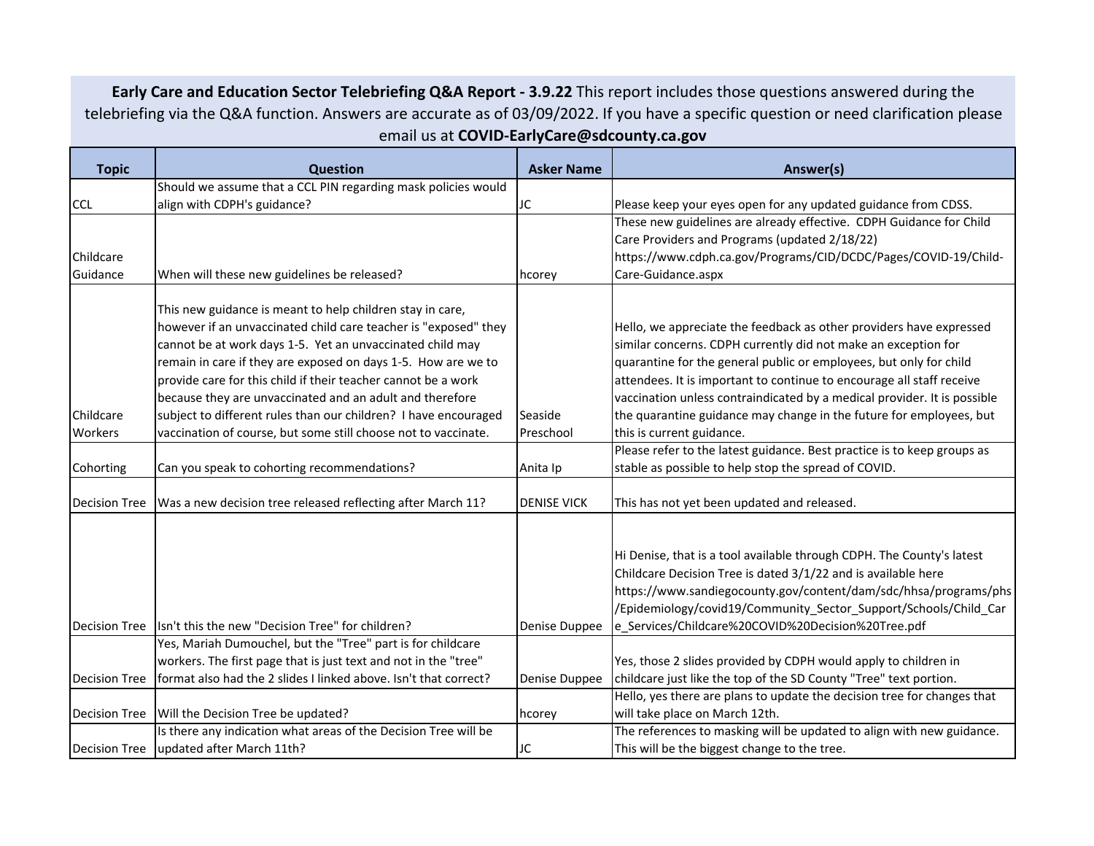**Early Care and Education Sector Telebriefing Q&A Report ‐ 3.9.22** This report includes those questions answered during the telebriefing via the Q&A function. Answers are accurate as of 03/09/2022. If you have <sup>a</sup> specific question or need clarification please email us at **COVID‐EarlyCare@sdcounty.ca.gov**

| <b>Topic</b>         | <b>Question</b>                                                  | <b>Asker Name</b>  | Answer(s)                                                                |
|----------------------|------------------------------------------------------------------|--------------------|--------------------------------------------------------------------------|
|                      | Should we assume that a CCL PIN regarding mask policies would    |                    |                                                                          |
| <b>CCL</b>           | align with CDPH's guidance?                                      | JC                 | Please keep your eyes open for any updated guidance from CDSS.           |
|                      |                                                                  |                    | These new guidelines are already effective. CDPH Guidance for Child      |
|                      |                                                                  |                    | Care Providers and Programs (updated 2/18/22)                            |
| Childcare            |                                                                  |                    | https://www.cdph.ca.gov/Programs/CID/DCDC/Pages/COVID-19/Child-          |
| Guidance             | When will these new guidelines be released?                      | hcorey             | Care-Guidance.aspx                                                       |
|                      | This new guidance is meant to help children stay in care,        |                    |                                                                          |
|                      | however if an unvaccinated child care teacher is "exposed" they  |                    | Hello, we appreciate the feedback as other providers have expressed      |
|                      | cannot be at work days 1-5. Yet an unvaccinated child may        |                    | similar concerns. CDPH currently did not make an exception for           |
|                      | remain in care if they are exposed on days 1-5. How are we to    |                    | quarantine for the general public or employees, but only for child       |
|                      | provide care for this child if their teacher cannot be a work    |                    | attendees. It is important to continue to encourage all staff receive    |
|                      | because they are unvaccinated and an adult and therefore         |                    | vaccination unless contraindicated by a medical provider. It is possible |
| Childcare            | subject to different rules than our children? I have encouraged  | Seaside            | the quarantine guidance may change in the future for employees, but      |
| Workers              | vaccination of course, but some still choose not to vaccinate.   | Preschool          | this is current guidance.                                                |
|                      |                                                                  |                    | Please refer to the latest guidance. Best practice is to keep groups as  |
| Cohorting            | Can you speak to cohorting recommendations?                      | Anita Ip           | stable as possible to help stop the spread of COVID.                     |
|                      |                                                                  |                    |                                                                          |
| <b>Decision Tree</b> | Was a new decision tree released reflecting after March 11?      | <b>DENISE VICK</b> | This has not yet been updated and released.                              |
|                      |                                                                  |                    |                                                                          |
|                      |                                                                  |                    | Hi Denise, that is a tool available through CDPH. The County's latest    |
|                      |                                                                  |                    | Childcare Decision Tree is dated 3/1/22 and is available here            |
|                      |                                                                  |                    | https://www.sandiegocounty.gov/content/dam/sdc/hhsa/programs/phs         |
|                      |                                                                  |                    | /Epidemiology/covid19/Community_Sector_Support/Schools/Child_Car         |
| <b>Decision Tree</b> | Isn't this the new "Decision Tree" for children?                 | Denise Duppee      | e_Services/Childcare%20COVID%20Decision%20Tree.pdf                       |
|                      | Yes, Mariah Dumouchel, but the "Tree" part is for childcare      |                    |                                                                          |
|                      | workers. The first page that is just text and not in the "tree"  |                    | Yes, those 2 slides provided by CDPH would apply to children in          |
| <b>Decision Tree</b> | format also had the 2 slides I linked above. Isn't that correct? | Denise Duppee      | childcare just like the top of the SD County "Tree" text portion.        |
|                      |                                                                  |                    | Hello, yes there are plans to update the decision tree for changes that  |
| <b>Decision Tree</b> | Will the Decision Tree be updated?                               | hcorey             | will take place on March 12th.                                           |
|                      | Is there any indication what areas of the Decision Tree will be  |                    | The references to masking will be updated to align with new guidance.    |
| <b>Decision Tree</b> | updated after March 11th?                                        | JC                 | This will be the biggest change to the tree.                             |